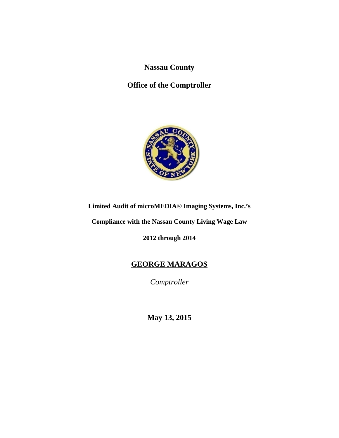**Nassau County** 

## **Office of the Comptroller**



#### **Limited Audit of microMEDIA® Imaging Systems, Inc.'s**

**Compliance with the Nassau County Living Wage Law** 

**2012 through 2014**

## **GEORGE MARAGOS**

*Comptroller* 

**May 13, 2015**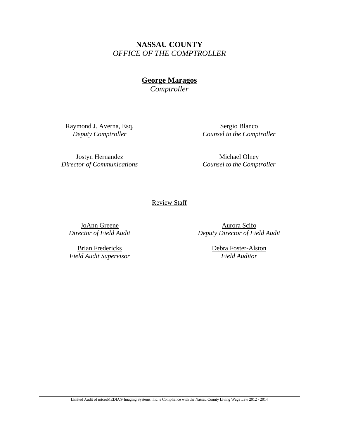**NASSAU COUNTY**  *OFFICE OF THE COMPTROLLER* 

**George Maragos** 

*Comptroller* 

Raymond J. Averna, Esq. *Deputy Comptroller* 

Sergio Blanco *Counsel to the Comptroller* 

Jostyn Hernandez *Director of Communications* 

Michael Olney *Counsel to the Comptroller* 

Review Staff

JoAnn Greene *Director of Field Audit* 

Brian Fredericks *Field Audit Supervisor* 

Aurora Scifo *Deputy Director of Field Audit* 

> Debra Foster-Alston *Field Auditor*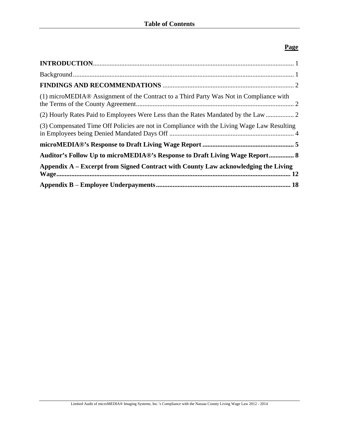#### **Page**

| (1) microMEDIA® Assignment of the Contract to a Third Party Was Not in Compliance with     |
|--------------------------------------------------------------------------------------------|
|                                                                                            |
| (3) Compensated Time Off Policies are not in Compliance with the Living Wage Law Resulting |
|                                                                                            |
| Auditor's Follow Up to microMEDIA®'s Response to Draft Living Wage Report 8                |
| Appendix A – Excerpt from Signed Contract with County Law acknowledging the Living         |
|                                                                                            |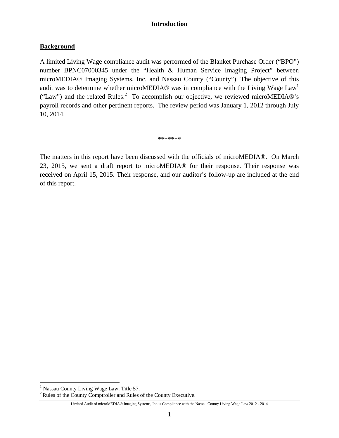#### **Background**

A limited Living Wage compliance audit was performed of the Blanket Purchase Order ("BPO") number BPNC07000345 under the "Health & Human Service Imaging Project" between microMEDIA® Imaging Systems, Inc. and Nassau County ("County"). The objective of this audit was to determine whether microMEDIA® was in compliance with the Living Wage Law<sup>1</sup> ("Law") and the related Rules.<sup>2</sup> To accomplish our objective, we reviewed microMEDIA®'s payroll records and other pertinent reports. The review period was January 1, 2012 through July 10, 2014.

\*\*\*\*\*\*\*

The matters in this report have been discussed with the officials of microMEDIA®. On March 23, 2015, we sent a draft report to microMEDIA® for their response. Their response was received on April 15, 2015. Their response, and our auditor's follow-up are included at the end of this report.

 $\overline{a}$ 

<sup>&</sup>lt;sup>1</sup> Nassau County Living Wage Law, Title 57.

<sup>2</sup> Rules of the County Comptroller and Rules of the County Executive.

Limited Audit of microMEDIA® Imaging Systems, Inc.'s Compliance with the Nassau County Living Wage Law 2012 - 2014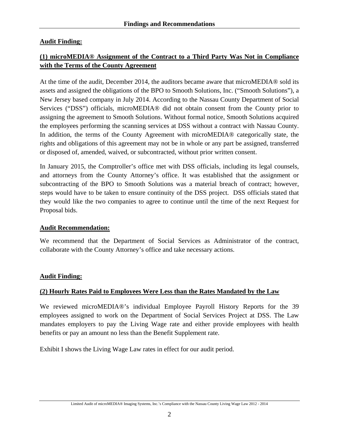### **Audit Finding:**

## **(1) microMEDIA® Assignment of the Contract to a Third Party Was Not in Compliance with the Terms of the County Agreement**

At the time of the audit, December 2014, the auditors became aware that microMEDIA® sold its assets and assigned the obligations of the BPO to Smooth Solutions, Inc. ("Smooth Solutions"), a New Jersey based company in July 2014. According to the Nassau County Department of Social Services ("DSS") officials, microMEDIA® did not obtain consent from the County prior to assigning the agreement to Smooth Solutions. Without formal notice, Smooth Solutions acquired the employees performing the scanning services at DSS without a contract with Nassau County. In addition, the terms of the County Agreement with microMEDIA® categorically state, the rights and obligations of this agreement may not be in whole or any part be assigned, transferred or disposed of, amended, waived, or subcontracted, without prior written consent.

In January 2015, the Comptroller's office met with DSS officials, including its legal counsels, and attorneys from the County Attorney's office. It was established that the assignment or subcontracting of the BPO to Smooth Solutions was a material breach of contract; however, steps would have to be taken to ensure continuity of the DSS project. DSS officials stated that they would like the two companies to agree to continue until the time of the next Request for Proposal bids.

#### **Audit Recommendation:**

We recommend that the Department of Social Services as Administrator of the contract, collaborate with the County Attorney's office and take necessary actions.

#### **Audit Finding:**

#### **(2) Hourly Rates Paid to Employees Were Less than the Rates Mandated by the Law**

We reviewed microMEDIA®'s individual Employee Payroll History Reports for the 39 employees assigned to work on the Department of Social Services Project at DSS. The Law mandates employers to pay the Living Wage rate and either provide employees with health benefits or pay an amount no less than the Benefit Supplement rate.

Exhibit I shows the Living Wage Law rates in effect for our audit period.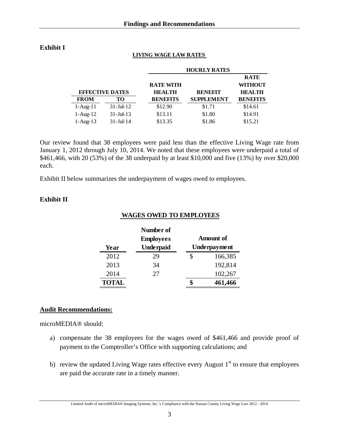#### **Exhibit I**

#### **LIVING WAGE LAW RATES**

|                        |               |                  | <b>HOURLY RATES</b> |                 |
|------------------------|---------------|------------------|---------------------|-----------------|
|                        |               |                  |                     | <b>RATE</b>     |
|                        |               | <b>RATE WITH</b> |                     | WITHOUT         |
| <b>EFFECTIVE DATES</b> |               | <b>HEALTH</b>    | <b>BENEFIT</b>      | <b>HEALTH</b>   |
| <b>FROM</b>            | TО            | <b>BENEFITS</b>  | <b>SUPPLEMENT</b>   | <b>BENEFITS</b> |
| $1-Aug-11$             | $31 -$ Jul-12 | \$12.90          | \$1.71              | \$14.61         |
| $1-Aug-12$             | $31 -$ Jul-13 | \$13.11          | \$1.80              | \$14.91         |
| $1-Aug-13$             | $31 -$ Jul-14 | \$13.35          | \$1.86              | \$15.21         |

Our review found that 38 employees were paid less than the effective Living Wage rate from January 1, 2012 through July 10, 2014. We noted that these employees were underpaid a total of \$461,466, with 20 (53%) of the 38 underpaid by at least \$10,000 and five (13%) by over \$20,000 each.

Exhibit II below summarizes the underpayment of wages owed to employees.

#### **Exhibit II**

#### **WAGES OWED TO EMPLOYEES**

|              | Number of        |                     |
|--------------|------------------|---------------------|
|              | <b>Employees</b> | <b>Amount of</b>    |
| Year         | <b>Underpaid</b> | <b>Underpayment</b> |
| 2012         | 29               | \$<br>166,385       |
| 2013         | 34               | 192,814             |
| 2014         | 27               | 102,267             |
| <b>TOTAL</b> |                  | 461,466             |

#### **Audit Recommendations:**

microMEDIA® should:

- a) compensate the 38 employees for the wages owed of \$461,466 and provide proof of payment to the Comptroller's Office with supporting calculations; and
- b) review the updated Living Wage rates effective every August  $1<sup>st</sup>$  to ensure that employees are paid the accurate rate in a timely manner.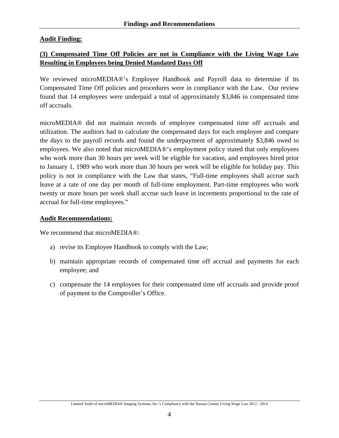#### **Audit Finding:**

## **(3) Compensated Time Off Policies are not in Compliance with the Living Wage Law Resulting in Employees being Denied Mandated Days Off**

We reviewed microMEDIA®'s Employee Handbook and Payroll data to determine if its Compensated Time Off policies and procedures were in compliance with the Law. Our review found that 14 employees were underpaid a total of approximately \$3,846 in compensated time off accruals.

microMEDIA® did not maintain records of employee compensated time off accruals and utilization. The auditors had to calculate the compensated days for each employee and compare the days to the payroll records and found the underpayment of approximately \$3,846 owed to employees. We also noted that microMEDIA®'s employment policy stated that only employees who work more than 30 hours per week will be eligible for vacation, and employees hired prior to January 1, 1989 who work more than 30 hours per week will be eligible for holiday pay. This policy is not in compliance with the Law that states, "Full-time employees shall accrue such leave at a rate of one day per month of full-time employment. Part-time employees who work twenty or more hours per week shall accrue such leave in increments proportional to the rate of accrual for full-time employees."

#### **Audit Recommendations:**

We recommend that microMEDIA®:

- a) revise its Employee Handbook to comply with the Law;
- b) maintain appropriate records of compensated time off accrual and payments for each employee; and
- c) compensate the 14 employees for their compensated time off accruals and provide proof of payment to the Comptroller's Office.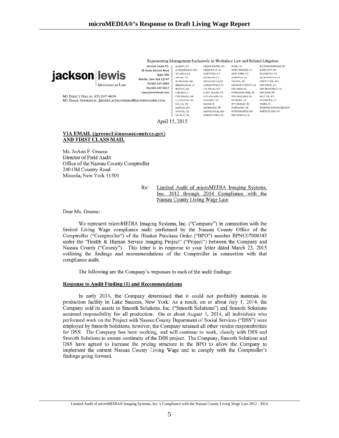

Attorneys at Law

.<br>Melville, New York 11747

Jackson Lewis P.C. ALBANY, NY 58 South Service Road ALBEIGNIFROUR, NM ATLANTA, GA Suite 250 AUSTIN, TX BALTIMORE, MD Tel 631 247-0404 **BIRMINGHAM, AL** Fax 631 247-0417 BOSTON MA www.jacksonlewis.com CHICAGO, IL CINCINNATI, OH CLEVELAND, OH DALLAS, TX

Representing Management Exclusively in Workplace Law and Related Litigation NAPA, CA RALEIGH-DURHAM, NC MEW ORLEANS LA **RAPID CYTY SD** RICHMOND, VA NEW YORK, NY NORFOLK, VA SACRAMENTO, CA OMAHA, NE SAINT LOUIS, MO ORANGE COUNTY, CA SAN DIEGO, CA **DRI ANDO FL** SAN FRANCISCO CA OVERLAND PARK, KS SAN JUAN, PR PHILADELPHIA, PA SEATTLE, WA PHOENIX, AZ STAMFORD, CT PITTSBURGH, PA TAMPA, FL

PORTLAND, OR

PROVIDENCE, RI

PORTSMOUTH, NH

WASHINGTON, DC REGION

WHITE PLAINS, NY

MY DIRECT DIAL IS: 631-247-4614 MY EMAIL ADDRESS IS: JEFFREY.SCHLOSSBERG@JACKSONLEWIS.COM

April 15, 2015

DAYTON, OH

DENVER, CO

DETROIT, MI

#### VIA EMAIL (jgreene1@nassaucountyny.gov) AND FIRST CLASS MAIL

Ms. JoAnn F. Greene Director of Field Audit Office of the Nassau County Comptroller 240 Old Country Road Mineola, New York 11501

> Re: Limited Audit of microMEDIA Imaging Systems, Inc. 2012 through 2014 Compliance with the Nassau County Living Wage Law

**GRAND RAPIDS, MI** 

CREENANT LE CO

HARTFORD, CT

HOUSTON, TX

INDIANAPOLIS, IN

**JACKSONVILLE, FL** 

LONG ISLAND, NY

**LOS ANGELES, CA** 

MEMPHIS, TN

MILWAUKEE, WE

MINNEAPOLIS, MN

MORRISTOWN, NT

MIAMI, FL

LAS VEGAS NV

Dear Ms. Greene:

We represent microMEDIA Imaging Systems, Inc. ("Company") in connection with the limited Living Wage compliance audit performed by the Nassau County Office of the Comptroller ("Comptroller") of the Blanket Purchase Order ("BPO") number BPNC07000345 under the "Health & Human Service Imaging Project" ("Project") between the Company and Nassau County ("County"). This letter is in response to your letter dated March 23, 2015 outlining the findings and recommendations of the Comptroller in connection with that compliance audit.

The following are the Company's responses to each of the audit findings:

#### **Response to Audit Finding (1) and Recommendations**

In early 2014, the Company determined that it could not profitably maintain its production facility in Lake Success, New York. As a result, on or about July 1, 2014, the Company sold its assets to Smooth Solutions, Inc. ("Smooth Solutions") and Smooth Solutions assumed responsibility for all production. On or about August 1, 2014, all individuals who performed work on the Project with Nassau County Department of Social Services ("DSS") were employed by Smooth Solutions, however, the Company retained all other vendor responsibilities for DSS. The Company has been working, and will continue to work, closely with DSS and Smooth Solutions to ensure continuity of the DSS project. The Company, Smooth Solutions and DSS have agreed to increase the pricing structure in the BPO to allow the Company to implement the current Nassau County Living Wage and to comply with the Comptroller's findings going forward.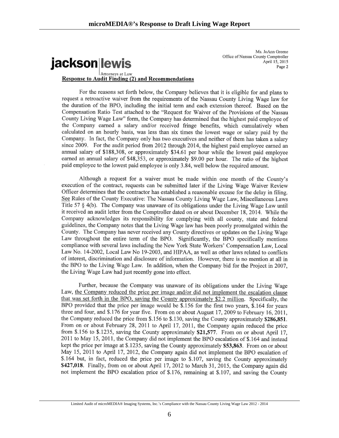# jackson lewis Attorneys at Law

Ms. JoAnn Greene Office of Nassau County Comptroller April 15, 2015 Page 2

#### **Response to Audit Finding (2) and Recommendations**

For the reasons set forth below, the Company believes that it is eligible for and plans to request a retroactive waiver from the requirements of the Nassau County Living Wage law for the duration of the BPO, including the initial term and each extension thereof. Based on the Compensation Ratio Test attached to the "Request for Waiver of the Provisions of the Nassau County Living Wage Law" form, the Company has determined that the highest paid employee of the Company earned a salary and/or received fringe benefits, which cumulatively when calculated on an hourly basis, was less than six times the lowest wage or salary paid by the Company. In fact, the Company only has two executives and neither of them has taken a salary since 2009. For the audit period from 2012 through 2014, the highest paid employee earned an annual salary of \$188,308, or approximately \$34.61 per hour while the lowest paid employee earned an annual salary of \$48,353, or approximately \$9.00 per hour. The ratio of the highest paid employee to the lowest paid employee is only 3.84, well below the required amount.

Although a request for a waiver must be made within one month of the County's execution of the contract, requests can be submitted later if the Living Wage Waiver Review Officer determines that the contractor has established a reasonable excuse for the delay in filing. See Rules of the County Executive: The Nassau County Living Wage Law, Miscellaneous Laws Title 57 § 4(b). The Company was unaware of its obligations under the Living Wage Law until it received an audit letter from the Comptroller dated on or about December 18, 2014. While the Company acknowledges its responsibility for complying with all county, state and federal guidelines, the Company notes that the Living Wage law has been poorly promulgated within the County. The Company has never received any County directives or updates on the Living Wage Law throughout the entire term of the BPO. Significantly, the BPO specifically mentions compliance with several laws including the New York State Workers' Compensation Law, Local Law No. 14-2002, Local Law No 19-2003, and HIPAA, as well as other laws related to conflicts of interest, discrimination and disclosure of information. However, there is no mention at all in the BPO to the Living Wage Law. In addition, when the Company bid for the Project in 2007. the Living Wage Law had just recently gone into effect.

Further, because the Company was unaware of its obligations under the Living Wage Law, the Company reduced the price per image and/or did not implement the escalation clause that was set forth in the BPO, saving the County approximately \$2.2 million. Specifically, the BPO provided that the price per image would be \$.156 for the first two years, \$.164 for years three and four, and \$.176 for year five. From on or about August 17, 2009 to February 16, 2011, the Company reduced the price from \$.156 to \$.130, saving the County approximately \$286,851. From on or about February 28, 2011 to April 17, 2011, the Company again reduced the price from \$.156 to \$.1235, saving the County approximately \$21,577. From on or about April 17, 2011 to May 15, 2011, the Company did not implement the BPO escalation of \$.164 and instead kept the price per image at \$.1235, saving the County approximately \$53,863. From on or about May 15, 2011 to April 17, 2012, the Company again did not implement the BPO escalation of \$.164 but, in fact, reduced the price per image to \$.107, saving the County approximately \$427,018. Finally, from on or about April 17, 2012 to March 31, 2015, the Company again did not implement the BPO escalation price of \$.176, remaining at \$.107, and saving the County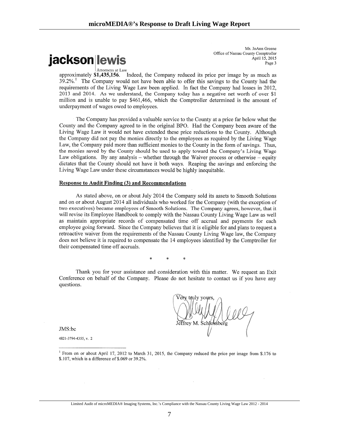# jackson lewis

Ms. JoAnn Greene Office of Nassau County Comptroller April 15, 2015 Page 3

approximately \$1,435,156. Indeed, the Company reduced its price per image by as much as  $39.2\%$ .<sup>1</sup> The Company would not have been able to offer this savings to the County had the requirements of the Living Wage Law been applied. In fact the Company had losses in 2012, 2013 and 2014. As we understand, the Company today has a negative net worth of over \$1 million and is unable to pay \$461,466, which the Comptroller determined is the amount of underpayment of wages owed to employees.

The Company has provided a valuable service to the County at a price far below what the County and the Company agreed to in the original BPO. Had the Company been aware of the Living Wage Law it would not have extended these price reductions to the County. Although the Company did not pay the monies directly to the employees as required by the Living Wage Law, the Company paid more than sufficient monies to the County in the form of savings. Thus, the monies saved by the County should be used to apply toward the Company's Living Wage Law obligations. By any analysis – whether through the Waiver process or otherwise – equity dictates that the County should not have it both ways. Reaping the savings and enforcing the Living Wage Law under these circumstances would be highly inequitable.

#### Response to Audit Finding (3) and Recommendations

As stated above, on or about July 2014 the Company sold its assets to Smooth Solutions and on or about August 2014 all individuals who worked for the Company (with the exception of two executives) became employees of Smooth Solutions. The Company agrees, however, that it will revise its Employee Handbook to comply with the Nassau County Living Wage Law as well as maintain appropriate records of compensated time off accrual and payments for each employee going forward. Since the Company believes that it is eligible for and plans to request a retroactive waiver from the requirements of the Nassau County Living Wage law, the Company does not believe it is required to compensate the 14 employees identified by the Comptroller for their compensated time off accruals.

Thank you for your assistance and consideration with this matter. We request an Exit Conference on behalf of the Company. Please do not hesitate to contact us if you have any questions.

JMS:bc

4821-3794-4355, v. 2

<sup>&</sup>lt;sup>1</sup> From on or about April 17, 2012 to March 31, 2015, the Company reduced the price per image from \$.176 to \$.107, which is a difference of \$.069 or 39.2%.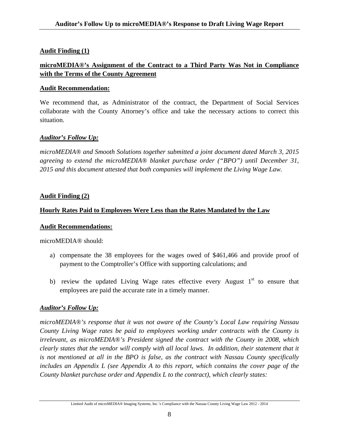#### **Audit Finding (1)**

## **microMEDIA®'s Assignment of the Contract to a Third Party Was Not in Compliance with the Terms of the County Agreement**

#### **Audit Recommendation:**

We recommend that, as Administrator of the contract, the Department of Social Services collaborate with the County Attorney's office and take the necessary actions to correct this situation.

#### *Auditor's Follow Up:*

*microMEDIA® and Smooth Solutions together submitted a joint document dated March 3, 2015 agreeing to extend the microMEDIA® blanket purchase order ("BPO") until December 31, 2015 and this document attested that both companies will implement the Living Wage Law.* 

#### **Audit Finding (2)**

#### **Hourly Rates Paid to Employees Were Less than the Rates Mandated by the Law**

#### **Audit Recommendations:**

microMEDIA® should:

- a) compensate the 38 employees for the wages owed of \$461,466 and provide proof of payment to the Comptroller's Office with supporting calculations; and
- b) review the updated Living Wage rates effective every August  $1<sup>st</sup>$  to ensure that employees are paid the accurate rate in a timely manner.

#### *Auditor's Follow Up:*

*microMEDIA®'s response that it was not aware of the County's Local Law requiring Nassau County Living Wage rates be paid to employees working under contracts with the County is irrelevant, as microMEDIA®'s President signed the contract with the County in 2008, which clearly states that the vendor will comply with all local laws. In addition, their statement that it is not mentioned at all in the BPO is false, as the contract with Nassau County specifically includes an Appendix L (see Appendix A to this report, which contains the cover page of the County blanket purchase order and Appendix L to the contract), which clearly states:*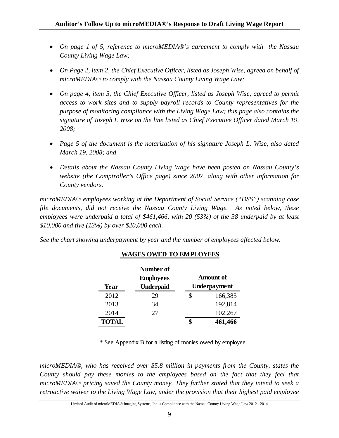- *On page 1 of 5, reference to microMEDIA®'s agreement to comply with the Nassau County Living Wage Law;*
- On Page 2, item 2, the Chief Executive Officer, listed as Joseph Wise, agreed on behalf of *microMEDIA® to comply with the Nassau County Living Wage Law;*
- On page 4, item 5, the Chief Executive Officer, listed as Joseph Wise, agreed to permit *access to work sites and to supply payroll records to County representatives for the purpose of monitoring compliance with the Living Wage Law; this page also contains the signature of Joseph L Wise on the line listed as Chief Executive Officer dated March 19, 2008;*
- *Page 5 of the document is the notarization of his signature Joseph L. Wise, also dated March 19, 2008; and*
- *Details about the Nassau County Living Wage have been posted on Nassau County's website (the Comptroller's Office page) since 2007, along with other information for County vendors.*

*microMEDIA® employees working at the Department of Social Service ("DSS") scanning case file documents, did not receive the Nassau County Living Wage. As noted below, these employees were underpaid a total of \$461,466, with 20 (53%) of the 38 underpaid by at least \$10,000 and five (13%) by over \$20,000 each.* 

*See the chart showing underpayment by year and the number of employees affected below.* 

|              | Number of        |                  |
|--------------|------------------|------------------|
|              | <b>Employees</b> | <b>Amount of</b> |
| Year         | <b>Underpaid</b> | Underpayment     |
| 2012         | 29               | 166,385          |
| 2013         | 34               | 192,814          |
| 2014         | 27               | 102,267          |
| <b>TOTAL</b> |                  | 461,466          |

#### **WAGES OWED TO EMPLOYEES**

\* See Appendix B for a listing of monies owed by employee

*microMEDIA®, who has received over \$5.8 million in payments from the County, states the County should pay these monies to the employees based on the fact that they feel that microMEDIA® pricing saved the County money. They further stated that they intend to seek a retroactive waiver to the Living Wage Law, under the provision that their highest paid employee*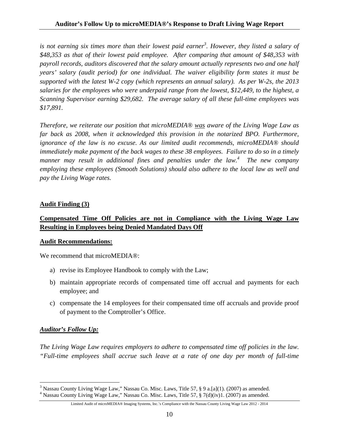*is not earning six times more than their lowest paid earner<sup>3</sup> . However, they listed a salary of \$48,353 as that of their lowest paid employee. After comparing that amount of \$48,353 with payroll records, auditors discovered that the salary amount actually represents two and one half years' salary (audit period) for one individual. The waiver eligibility form states it must be supported with the latest W-2 copy (which represents an annual salary). As per W-2s, the 2013 salaries for the employees who were underpaid range from the lowest, \$12,449, to the highest, a Scanning Supervisor earning \$29,682. The average salary of all these full-time employees was \$17,891.* 

*Therefore, we reiterate our position that microMEDIA® was aware of the Living Wage Law as far back as 2008, when it acknowledged this provision in the notarized BPO. Furthermore, ignorance of the law is no excuse. As our limited audit recommends, microMEDIA® should immediately make payment of the back wages to these 38 employees. Failure to do so in a timely manner may result in additional fines and penalties under the law.4 The new company employing these employees (Smooth Solutions) should also adhere to the local law as well and pay the Living Wage rates.* 

#### **Audit Finding (3)**

## **Compensated Time Off Policies are not in Compliance with the Living Wage Law Resulting in Employees being Denied Mandated Days Off**

#### **Audit Recommendations:**

We recommend that microMEDIA®:

- a) revise its Employee Handbook to comply with the Law;
- b) maintain appropriate records of compensated time off accrual and payments for each employee; and
- c) compensate the 14 employees for their compensated time off accruals and provide proof of payment to the Comptroller's Office.

#### *Auditor's Follow Up:*

 $\overline{a}$ 

*The Living Wage Law requires employers to adhere to compensated time off policies in the law. "Full-time employees shall accrue such leave at a rate of one day per month of full-time* 

<sup>&</sup>lt;sup>3</sup> Nassau County Living Wage Law," Nassau Co. Misc. Laws, Title 57, § 9 a.[a](1). (2007) as amended.<br><sup>4</sup> Nassau County Living Wage Law," Nassau Co. Misc. Laws, Title 57, § 7(d)(iv)1, (2007) as amended.

<sup>&</sup>lt;sup>4</sup> Nassau County Living Wage Law," Nassau Co. Misc. Laws, Title 57, § 7(d)(iv)1. (2007) as amended.

Limited Audit of microMEDIA® Imaging Systems, Inc.'s Compliance with the Nassau County Living Wage Law 2012 - 2014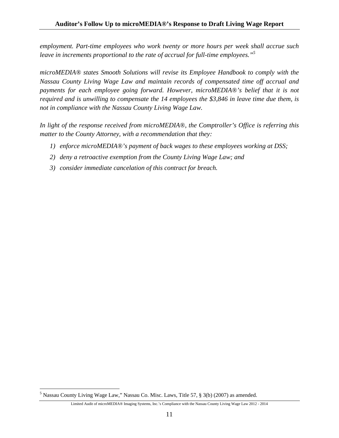*employment. Part-time employees who work twenty or more hours per week shall accrue such leave in increments proportional to the rate of accrual for full-time employees."5*

*microMEDIA® states Smooth Solutions will revise its Employee Handbook to comply with the Nassau County Living Wage Law and maintain records of compensated time off accrual and payments for each employee going forward. However, microMEDIA®'s belief that it is not required and is unwilling to compensate the 14 employees the \$3,846 in leave time due them, is not in compliance with the Nassau County Living Wage Law.* 

*In light of the response received from microMEDIA®, the Comptroller's Office is referring this matter to the County Attorney, with a recommendation that they:* 

- *1) enforce microMEDIA®'s payment of back wages to these employees working at DSS;*
- *2) deny a retroactive exemption from the County Living Wage Law; and*
- *3) consider immediate cancelation of this contract for breach.*

<u>.</u>

<sup>&</sup>lt;sup>5</sup> Nassau County Living Wage Law," Nassau Co. Misc. Laws, Title 57, § 3(b) (2007) as amended.

Limited Audit of microMEDIA® Imaging Systems, Inc.'s Compliance with the Nassau County Living Wage Law 2012 - 2014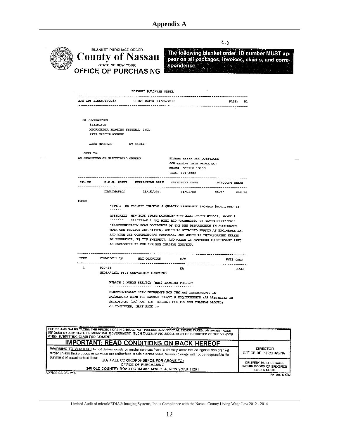|                                    |                                                                                       | STATE OF NEW YORK<br><b>OFFICE OF PURCHASING</b><br>BLANKET PURCHASE CRDER                                                                                                                                                                                                                                                                                                                                                                                                      | spondence.<br>1959 B                                                                             |                |                                  |
|------------------------------------|---------------------------------------------------------------------------------------|---------------------------------------------------------------------------------------------------------------------------------------------------------------------------------------------------------------------------------------------------------------------------------------------------------------------------------------------------------------------------------------------------------------------------------------------------------------------------------|--------------------------------------------------------------------------------------------------|----------------|----------------------------------|
|                                    | EPO ID: BPNC07000345                                                                  | PRINT DATE: 03/26/2008                                                                                                                                                                                                                                                                                                                                                                                                                                                          |                                                                                                  | PAGE:          | -61.                             |
|                                    | TO CONTRACTOR:<br>113181827<br>MICROMEDIA IMAGING SYSTEMS, INC.<br>1979 MARCUS AVENUE |                                                                                                                                                                                                                                                                                                                                                                                                                                                                                 |                                                                                                  |                |                                  |
|                                    | LAKE SUCCESS NY 11042-                                                                |                                                                                                                                                                                                                                                                                                                                                                                                                                                                                 |                                                                                                  |                |                                  |
| SHIP TO:                           | AS SPECIFIED ON INDIVIDUAL ORDERS                                                     |                                                                                                                                                                                                                                                                                                                                                                                                                                                                                 | PLEASE REFER ALL QUESTIONS<br>CONCERNING THIS ORDER TO:<br>KRAUS, GERALD 13936<br>(516) 571-3936 |                |                                  |
| ITB ID                             | F.O.B. POINT                                                                          | EXPIRATION DATE                                                                                                                                                                                                                                                                                                                                                                                                                                                                 | <i>EFFECTIVE</i> DATE                                                                            | DISCOUNT TERMS |                                  |
|                                    | <b>DESTINATION</b>                                                                    | 04/15/2010                                                                                                                                                                                                                                                                                                                                                                                                                                                                      | 04/16/08                                                                                         | 24/10          | NET 30                           |
|                                    |                                                                                       | AUTHORITY: NEW YORK STATE CONTRACT #CMS664A; GROUP #73012; AWARD #<br>8960275-E.1 AND MINI BID #NCRHS2007-01 DATED 09/11/2007<br>"ELECTRONICALLY SCAN DOCUMENTS OF THE HHS DEFARTMENTS IN ACCORDANCE<br>WITH THE PROJECT DEFINITION, WHICH IS ATTACHED HERETO AS ENCLOSURE 1A,<br>AND WITH THE CONTRACTOR'S PROPOSAL, AND WHICE IS INCORPORATED HEREIN<br>BY REFERENCE, IN ITS ENTIRETY, AND WHICH IS ATTACHED IN RELEVANT PART<br>AS ENCLOSURE 1B FOR THE HES IMAGING PROJECT. |                                                                                                  |                |                                  |
| <b>TTEM</b>                        | COMMODITY ID                                                                          | MAX QUANTITY                                                                                                                                                                                                                                                                                                                                                                                                                                                                    | U/I1                                                                                             | UNIT COST      |                                  |
|                                    | $920 - 34$                                                                            | MEDIA/DATA FILE CONVERSION SERVICES                                                                                                                                                                                                                                                                                                                                                                                                                                             | EA.                                                                                              | - 1560         |                                  |
| $\mathbf{L}$                       |                                                                                       | HEALTH & KUMAN SERVICE (HHS) IMAGING PROJECT                                                                                                                                                                                                                                                                                                                                                                                                                                    |                                                                                                  |                |                                  |
|                                    |                                                                                       | ELECTRONICALLY SCAN DOCUMENTS FOR THE RMS DEPARTMENTS IN<br>ACCORDANCE WITH THE NASSAU COUNTY'S REQUIREMENTS (AS DESCRIBED IN<br>ENCLOSURES (1A) AND (1B) HEREIN) FOR THE RHS IMAGING PROJECT<br><< CONTINUED, NEXT PAGE >>                                                                                                                                                                                                                                                     |                                                                                                  |                |                                  |
| WHEN SUBMITTING CLAIM FOR PAYMENT. |                                                                                       | EXCISE AND SALES TAXES: THE PRICES HEREIN SHOULD NOT INCLUDE ANY FEDERAL EXCISE TAXES, OR SALES TAXES<br>IMPOSED BY ANY STATE OR MUNICIPAL GOVERNMENT. SUCH TAXES, IF INCLUDED, MUST BE DEDUCTED BY THE VENDOR                                                                                                                                                                                                                                                                  |                                                                                                  |                |                                  |
| payment of unauthorized items.     |                                                                                       | <u>IMPORTANT: READ CONDITIONS ON BACK HEREOF</u><br>WARNING TO VENDOR: Do not deliver goods or render services from a delivery order issued against this blanket<br>order unless those goods or services are authorized in this blanket order. Nassau County will not be responsible for<br>SEND ALL CORRESPONDENCE FOR ABOVE TO:                                                                                                                                               |                                                                                                  |                | DIRECTOR<br>OFFICE OF PURCHASING |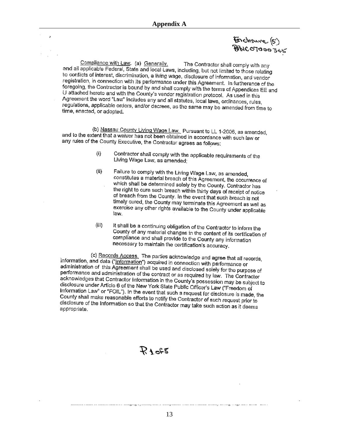## Enclosure (5) **BACOTODO 345**

Compliance with Law. (a) Generally. The Contractor shall comply with any and all applicable Federal, State and local Laws, including, but not limited to those relating to conflicts of interest, discrimination, a living wage, disclosure of information, and vendor<br>for conflicts of interest, discrimination, a living wage, disclosure of information, and vendor registration, in connection with its performance under this Agreement. In furtherance of the foregoing, the Contractor with its performance under tris Agreement. In furtherance of the<br>foregoing, the Contractor is bound by and shall comply with the terms of Appendices EE and U attached hereto and with the County's vendor registration protocol. As used in this Determent the word "Law" intercounty's ventoor registration protocol. As used in this<br>Agreement the word "Law" includes any and all statutes, local laws, ordinances, rules, regulations, applicable orders, and/or decrees, as the same may be amended from time to<br>regulations, applicable orders, and/or decrees, as the same may be amended from time to time, enacted, or adopted.

(b) Nassau County Living Wage Law. Pursuant to LL 1-2006, as amended, and to the extent that a waiver has not been obtained in accordance with such law or and the solution that a watter has not been obtained in accordance<br>any rules of the County Executive, the Contractor agrees as follows:

- Contractor shall comply with the applicable requirements of the  $\{i\}$ Living Wage Law, as amended:
- $(ii)$ Failure to comply with the Living Wage Law, as amended, constitutes a material breach of this Agreement, the occurrence of which shall be determined solely by the County. Contractor has the right to cure such breach within thirty days of receipt of notice<br>the right to cure such breach within thirty days of receipt of notice of breach from the County. In the event that such breach is not<br>of breach from the County. In the event that such breach is not they cured, the County may terminate this Agreement as well as exercise any other rights available to the County under applicable<br>exercise any other rights available to the County under applicable law.
- It shall be a continuing obligation of the Contractor to inform the  $(iii)$ country of any material changes in the contractor to inform the<br>Country of any material changes in the content of its certification of compliance and shall provide to the County any information necessary to maintain the certification's accuracy.

(c) Records Access. The parties acknowledge and agree that all records, information, and data ("Information") acquired in connection with performance or administration of this Agreement shall be used and disclosed solely for the purpose of performance and administration of the contract or as required by law. The Contractor<br>acknowledges that Contractor Infermation is the contractor performance and daministration of the contract of as required by law. The Contractor<br>acknowledges that Contractor Information in the County's possession may be subject to<br>disclosure under Article 6 of the New York State Bu disclosure under Article 6 of the New York State Public Officer's Law ("Freedom of<br>Information Law" or "FOIL"). In the exert that can Information Law" or "FOIL"), In the event that such a request for disclosure is made, the<br>County shall make recognish a fact that such a request for disclosure is made, the County shall make reasonable efforts to notify the Contractor of such request prior to<br>disclosure of the total make reasonable efforts to notify the Contractor of such request prior to disclosure of the Information so that the Contractor may take such action as it deems appropriate.

# $R$  a of  $\mathbb{S}$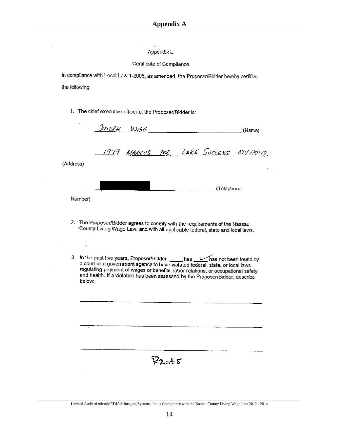Appendix L

Certificate of Compliance

In compliance with Local Law 1-2006, as amended, the Proposer/Bidder hereby certifies the following:

1. The chief executive officer of the Proposer/Bidder is:

 $\ddot{\phantom{a}}$ 

 $\frac{1}{2}$ 

i,

|           | JOSEPH WISE                                                                                                                                                                                                                                                                                                                                                                                                                                                                                             |       |                         | (Name)                                |
|-----------|---------------------------------------------------------------------------------------------------------------------------------------------------------------------------------------------------------------------------------------------------------------------------------------------------------------------------------------------------------------------------------------------------------------------------------------------------------------------------------------------------------|-------|-------------------------|---------------------------------------|
|           |                                                                                                                                                                                                                                                                                                                                                                                                                                                                                                         |       |                         | 1979 MARCUS AVE, LAKE SUCCESS WY/1042 |
| (Address) |                                                                                                                                                                                                                                                                                                                                                                                                                                                                                                         |       |                         |                                       |
|           |                                                                                                                                                                                                                                                                                                                                                                                                                                                                                                         |       | (Telephone) (Telephone) |                                       |
| Number)   |                                                                                                                                                                                                                                                                                                                                                                                                                                                                                                         |       |                         |                                       |
|           | 2. The Proposer/Bidder agrees to comply with the requirements of the Nassau<br>County Living Wage Law, and with all applicable federal, state and local laws.<br>3. In the past five years, Proposer/Bidder _____ has _____ has not been found by<br>a court or a government agency to have violated federal, state, or local laws<br>regulating payment of wages or benefits, labor relations, or occupational safety<br>and health. If a violation has been assessed by the Proposer/Bidder, describe |       |                         |                                       |
| below:    |                                                                                                                                                                                                                                                                                                                                                                                                                                                                                                         |       |                         |                                       |
|           |                                                                                                                                                                                                                                                                                                                                                                                                                                                                                                         |       |                         |                                       |
|           |                                                                                                                                                                                                                                                                                                                                                                                                                                                                                                         |       |                         |                                       |
|           |                                                                                                                                                                                                                                                                                                                                                                                                                                                                                                         |       |                         |                                       |
|           |                                                                                                                                                                                                                                                                                                                                                                                                                                                                                                         |       |                         |                                       |
|           |                                                                                                                                                                                                                                                                                                                                                                                                                                                                                                         | どうへもど |                         |                                       |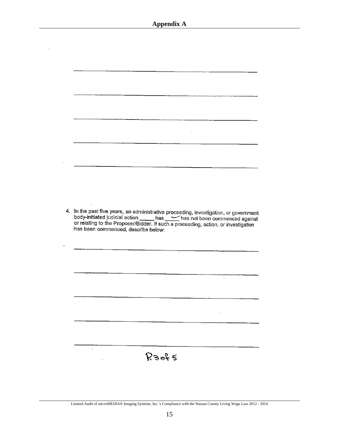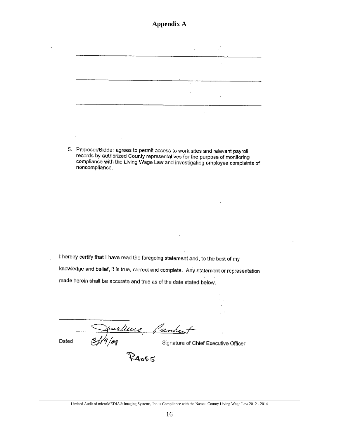5. Proposer/Bidder agrees to permit access to work sites and relevant payroll records by authorized County representatives for the purpose of monitoring compliance with the Living Wage Law and investigating employee complaints of noncompliance.

I hereby certify that I have read the foregoing statement and, to the best of my knowledge and belief, it is true, correct and complete. Any statement or representation made herein shall be accurate and true as of the date stated below.

urliere Cundent Dated

Signature of Chief Executive Officer

k,

**P4065**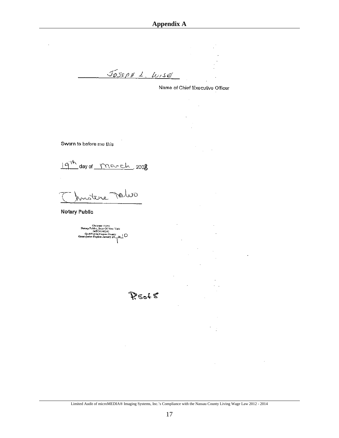JOSEPH L. WISE

Name of Chief Executive Officer

Sworn to before me this

19th day of march 2008

motine Telvo

Notary Public

Christine Tolve<br>Notary Public, Sauc Of New York<br>Delford data Passar County<br>Contribution Expires January 23 \_\_{

 $5$  and  $\mathscr{P}$ 

 $\mathcal{L}_{\mathcal{A}}$ 

ł,  $\mathbb{R}^2$ 

 $\mathcal{L}$